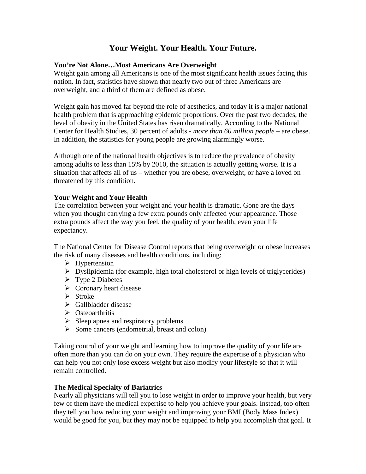# **Your Weight. Your Health. Your Future.**

### **You're Not Alone…Most Americans Are Overweight**

Weight gain among all Americans is one of the most significant health issues facing this nation. In fact, statistics have shown that nearly two out of three Americans are overweight, and a third of them are defined as obese.

Weight gain has moved far beyond the role of aesthetics, and today it is a major national health problem that is approaching epidemic proportions. Over the past two decades, the level of obesity in the United States has risen dramatically. According to the National Center for Health Studies, 30 percent of adults - *more than 60 million people* – are obese. In addition, the statistics for young people are growing alarmingly worse.

Although one of the national health objectives is to reduce the prevalence of obesity among adults to less than 15% by 2010, the situation is actually getting worse. It is a situation that affects all of us – whether you are obese, overweight, or have a loved on threatened by this condition.

#### **Your Weight and Your Health**

The correlation between your weight and your health is dramatic. Gone are the days when you thought carrying a few extra pounds only affected your appearance. Those extra pounds affect the way you feel, the quality of your health, even your life expectancy.

The National Center for Disease Control reports that being overweight or obese increases the risk of many diseases and health conditions, including:

- $\triangleright$  Hypertension
- $\triangleright$  Dyslipidemia (for example, high total cholesterol or high levels of triglycerides)
- $\triangleright$  Type 2 Diabetes
- $\triangleright$  Coronary heart disease
- $\triangleright$  Stroke
- Gallbladder disease
- Subsetsual Osteoarthritis
- $\triangleright$  Sleep apnea and respiratory problems
- $\triangleright$  Some cancers (endometrial, breast and colon)

Taking control of your weight and learning how to improve the quality of your life are often more than you can do on your own. They require the expertise of a physician who can help you not only lose excess weight but also modify your lifestyle so that it will remain controlled.

#### **The Medical Specialty of Bariatrics**

Nearly all physicians will tell you to lose weight in order to improve your health, but very few of them have the medical expertise to help you achieve your goals. Instead, too often they tell you how reducing your weight and improving your BMI (Body Mass Index) would be good for you, but they may not be equipped to help you accomplish that goal. It